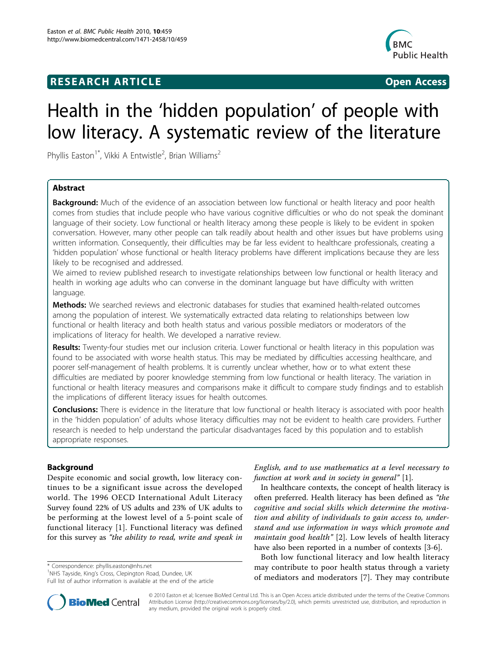## **RESEARCH ARTICLE Example 2018 CONSIDERING ACCESS**



# Health in the 'hidden population' of people with low literacy. A systematic review of the literature

Phyllis Easton $^{1^*}$ , Vikki A Entwistle $^2$ , Brian Williams $^2$ 

## Abstract

**Background:** Much of the evidence of an association between low functional or health literacy and poor health comes from studies that include people who have various cognitive difficulties or who do not speak the dominant language of their society. Low functional or health literacy among these people is likely to be evident in spoken conversation. However, many other people can talk readily about health and other issues but have problems using written information. Consequently, their difficulties may be far less evident to healthcare professionals, creating a 'hidden population' whose functional or health literacy problems have different implications because they are less likely to be recognised and addressed.

We aimed to review published research to investigate relationships between low functional or health literacy and health in working age adults who can converse in the dominant language but have difficulty with written language.

Methods: We searched reviews and electronic databases for studies that examined health-related outcomes among the population of interest. We systematically extracted data relating to relationships between low functional or health literacy and both health status and various possible mediators or moderators of the implications of literacy for health. We developed a narrative review.

Results: Twenty-four studies met our inclusion criteria. Lower functional or health literacy in this population was found to be associated with worse health status. This may be mediated by difficulties accessing healthcare, and poorer self-management of health problems. It is currently unclear whether, how or to what extent these difficulties are mediated by poorer knowledge stemming from low functional or health literacy. The variation in functional or health literacy measures and comparisons make it difficult to compare study findings and to establish the implications of different literacy issues for health outcomes.

**Conclusions:** There is evidence in the literature that low functional or health literacy is associated with poor health in the 'hidden population' of adults whose literacy difficulties may not be evident to health care providers. Further research is needed to help understand the particular disadvantages faced by this population and to establish appropriate responses.

## Background

Despite economic and social growth, low literacy continues to be a significant issue across the developed world. The 1996 OECD International Adult Literacy Survey found 22% of US adults and 23% of UK adults to be performing at the lowest level of a 5-point scale of functional literacy [[1\]](#page-8-0). Functional literacy was defined for this survey as "the ability to read, write and speak in

\* Correspondence: [phyllis.easton@nhs.net](mailto:phyllis.easton@nhs.net)

<sup>1</sup>NHS Tayside, King's Cross, Clepington Road, Dundee, UK Full list of author information is available at the end of the article

English, and to use mathematics at a level necessary to function at work and in society in general" [\[1\]](#page-8-0).

In healthcare contexts, the concept of health literacy is often preferred. Health literacy has been defined as "the cognitive and social skills which determine the motivation and ability of individuals to gain access to, understand and use information in ways which promote and maintain good health" [[2\]](#page-8-0). Low levels of health literacy have also been reported in a number of contexts [[3-6\]](#page-8-0).

Both low functional literacy and low health literacy may contribute to poor health status through a variety of mediators and moderators [\[7](#page-8-0)]. They may contribute



© 2010 Easton et al; licensee BioMed Central Ltd. This is an Open Access article distributed under the terms of the Creative Commons Attribution License [\(http://creativecommons.org/licenses/by/2.0](http://creativecommons.org/licenses/by/2.0)), which permits unrestricted use, distribution, and reproduction in any medium, provided the original work is properly cited.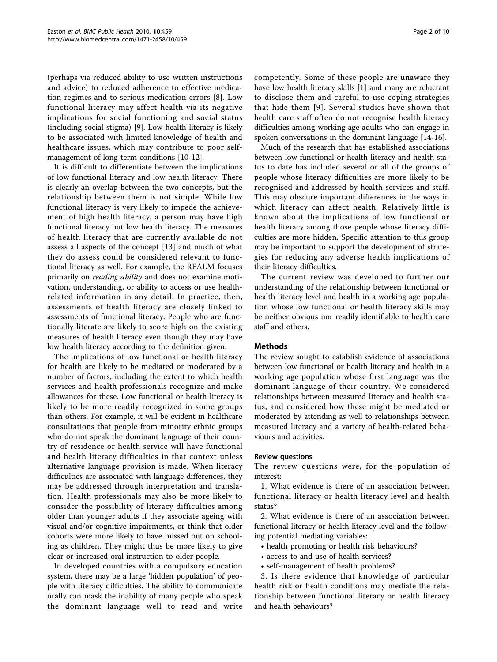(perhaps via reduced ability to use written instructions and advice) to reduced adherence to effective medication regimes and to serious medication errors [[8\]](#page-8-0). Low functional literacy may affect health via its negative implications for social functioning and social status (including social stigma) [[9\]](#page-8-0). Low health literacy is likely to be associated with limited knowledge of health and healthcare issues, which may contribute to poor selfmanagement of long-term conditions [\[10-12](#page-8-0)].

It is difficult to differentiate between the implications of low functional literacy and low health literacy. There is clearly an overlap between the two concepts, but the relationship between them is not simple. While low functional literacy is very likely to impede the achievement of high health literacy, a person may have high functional literacy but low health literacy. The measures of health literacy that are currently available do not assess all aspects of the concept [\[13](#page-8-0)] and much of what they do assess could be considered relevant to functional literacy as well. For example, the REALM focuses primarily on *reading ability* and does not examine motivation, understanding, or ability to access or use healthrelated information in any detail. In practice, then, assessments of health literacy are closely linked to assessments of functional literacy. People who are functionally literate are likely to score high on the existing measures of health literacy even though they may have low health literacy according to the definition given.

The implications of low functional or health literacy for health are likely to be mediated or moderated by a number of factors, including the extent to which health services and health professionals recognize and make allowances for these. Low functional or health literacy is likely to be more readily recognized in some groups than others. For example, it will be evident in healthcare consultations that people from minority ethnic groups who do not speak the dominant language of their country of residence or health service will have functional and health literacy difficulties in that context unless alternative language provision is made. When literacy difficulties are associated with language differences, they may be addressed through interpretation and translation. Health professionals may also be more likely to consider the possibility of literacy difficulties among older than younger adults if they associate ageing with visual and/or cognitive impairments, or think that older cohorts were more likely to have missed out on schooling as children. They might thus be more likely to give clear or increased oral instruction to older people.

In developed countries with a compulsory education system, there may be a large 'hidden population' of people with literacy difficulties. The ability to communicate orally can mask the inability of many people who speak the dominant language well to read and write competently. Some of these people are unaware they have low health literacy skills [[1](#page-8-0)] and many are reluctant to disclose them and careful to use coping strategies that hide them [[9](#page-8-0)]. Several studies have shown that health care staff often do not recognise health literacy difficulties among working age adults who can engage in spoken conversations in the dominant language [\[14](#page-8-0)[-16](#page-9-0)].

Much of the research that has established associations between low functional or health literacy and health status to date has included several or all of the groups of people whose literacy difficulties are more likely to be recognised and addressed by health services and staff. This may obscure important differences in the ways in which literacy can affect health. Relatively little is known about the implications of low functional or health literacy among those people whose literacy difficulties are more hidden. Specific attention to this group may be important to support the development of strategies for reducing any adverse health implications of their literacy difficulties.

The current review was developed to further our understanding of the relationship between functional or health literacy level and health in a working age population whose low functional or health literacy skills may be neither obvious nor readily identifiable to health care staff and others.

#### Methods

The review sought to establish evidence of associations between low functional or health literacy and health in a working age population whose first language was the dominant language of their country. We considered relationships between measured literacy and health status, and considered how these might be mediated or moderated by attending as well to relationships between measured literacy and a variety of health-related behaviours and activities.

#### Review questions

The review questions were, for the population of interest:

1. What evidence is there of an association between functional literacy or health literacy level and health status?

2. What evidence is there of an association between functional literacy or health literacy level and the following potential mediating variables:

- health promoting or health risk behaviours?
- access to and use of health services?
- self-management of health problems?

3. Is there evidence that knowledge of particular health risk or health conditions may mediate the relationship between functional literacy or health literacy and health behaviours?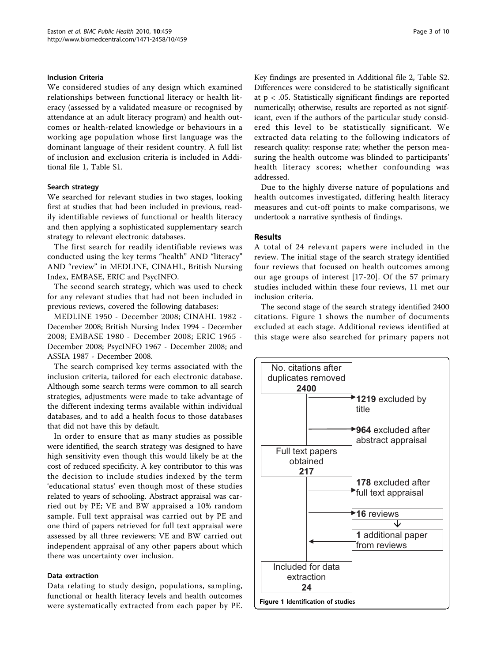## Inclusion Criteria

We considered studies of any design which examined relationships between functional literacy or health literacy (assessed by a validated measure or recognised by attendance at an adult literacy program) and health outcomes or health-related knowledge or behaviours in a working age population whose first language was the dominant language of their resident country. A full list of inclusion and exclusion criteria is included in Additional file [1](#page-8-0), Table S1.

## Search strategy

We searched for relevant studies in two stages, looking first at studies that had been included in previous, readily identifiable reviews of functional or health literacy and then applying a sophisticated supplementary search strategy to relevant electronic databases.

The first search for readily identifiable reviews was conducted using the key terms "health" AND "literacy" AND "review" in MEDLINE, CINAHL, British Nursing Index, EMBASE, ERIC and PsycINFO.

The second search strategy, which was used to check for any relevant studies that had not been included in previous reviews, covered the following databases:

MEDLINE 1950 - December 2008; CINAHL 1982 - December 2008; British Nursing Index 1994 - December 2008; EMBASE 1980 - December 2008; ERIC 1965 - December 2008; PsycINFO 1967 - December 2008; and ASSIA 1987 - December 2008.

The search comprised key terms associated with the inclusion criteria, tailored for each electronic database. Although some search terms were common to all search strategies, adjustments were made to take advantage of the different indexing terms available within individual databases, and to add a health focus to those databases that did not have this by default.

In order to ensure that as many studies as possible were identified, the search strategy was designed to have high sensitivity even though this would likely be at the cost of reduced specificity. A key contributor to this was the decision to include studies indexed by the term 'educational status' even though most of these studies related to years of schooling. Abstract appraisal was carried out by PE; VE and BW appraised a 10% random sample. Full text appraisal was carried out by PE and one third of papers retrieved for full text appraisal were assessed by all three reviewers; VE and BW carried out independent appraisal of any other papers about which there was uncertainty over inclusion.

#### Data extraction

Data relating to study design, populations, sampling, functional or health literacy levels and health outcomes were systematically extracted from each paper by PE.

Key findings are presented in Additional file [2](#page-8-0), Table S2. Differences were considered to be statistically significant at p < .05. Statistically significant findings are reported numerically; otherwise, results are reported as not significant, even if the authors of the particular study considered this level to be statistically significant. We extracted data relating to the following indicators of research quality: response rate; whether the person measuring the health outcome was blinded to participants' health literacy scores; whether confounding was addressed.

Due to the highly diverse nature of populations and health outcomes investigated, differing health literacy measures and cut-off points to make comparisons, we undertook a narrative synthesis of findings.

## Results

A total of 24 relevant papers were included in the review. The initial stage of the search strategy identified four reviews that focused on health outcomes among our age groups of interest [\[17-20\]](#page-9-0). Of the 57 primary studies included within these four reviews, 11 met our inclusion criteria.

The second stage of the search strategy identified 2400 citations. Figure 1 shows the number of documents excluded at each stage. Additional reviews identified at this stage were also searched for primary papers not

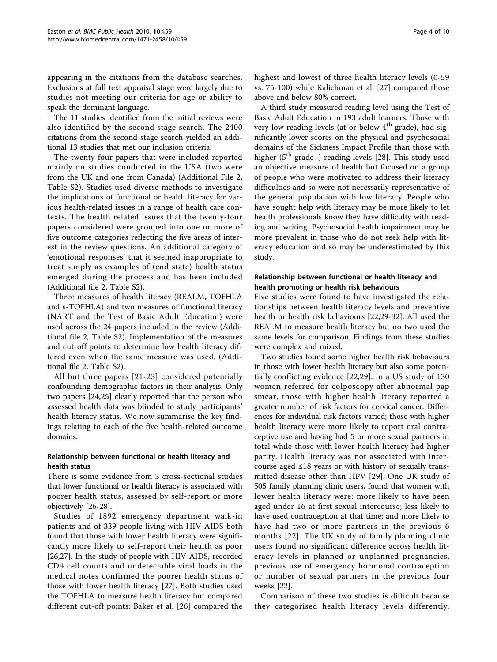appearing in the citations from the database searches. Exclusions at full text appraisal stage were largely due to studies not meeting our criteria for age or ability to speak the dominant language.

The 11 studies identified from the initial reviews were also identified by the second stage search. The 2400 citations from the second stage search yielded an additional 13 studies that met our inclusion criteria.

The twenty-four papers that were included reported mainly on studies conducted in the USA (two were from the UK and one from Canada) (Additional File 2, Table S2). Studies used diverse methods to investigate the implications of functional or health literacy for various health-related issues in a range of health care contexts. The health related issues that the twenty-four papers considered were grouped into one or more of five outcome categories reflecting the five areas of interest in the review questions. An additional category of 'emotional responses' that it seemed inappropriate to treat simply as examples of (end state) health status emerged during the process and has been included (Additional file 2, Table S2).

Three measures of health literacy (REALM, TOFHLA and s-TOFHLA) and two measures of functional literacy (NART and the Test of Basic Adult Education) were used across the 24 papers included in the review (Additional file 2, Table S2). Implementation of the measures and cut-off points to determine low health literacy differed even when the same measure was used. (Additional file 2, Table S2).

All but three papers [\[21-23](#page-9-0)] considered potentially confounding demographic factors in their analysis. Only two papers [[24,25\]](#page-9-0) clearly reported that the person who assessed health data was blinded to study participants' health literacy status. We now summarise the key findings relating to each of the five health-related outcome domains.

## Relationship between functional or health literacy and health status

There is some evidence from 3 cross-sectional studies that lower functional or health literacy is associated with poorer health status, assessed by self-report or more objectively [[26-28\]](#page-9-0).

Studies of 1892 emergency department walk-in patients and of 339 people living with HIV-AIDS both found that those with lower health literacy were significantly more likely to self-report their health as poor [[26,27\]](#page-9-0). In the study of people with HIV-AIDS, recorded CD4 cell counts and undetectable viral loads in the medical notes confirmed the poorer health status of those with lower health literacy [[27](#page-9-0)]. Both studies used the TOFHLA to measure health literacy but compared different cut-off points: Baker et al. [\[26](#page-9-0)] compared the highest and lowest of three health literacy levels (0-59 vs. 75-100) while Kalichman et al. [[27](#page-9-0)] compared those above and below 80% correct.

A third study measured reading level using the Test of Basic Adult Education in 193 adult learners. Those with very low reading levels (at or below  $4<sup>th</sup>$  grade), had significantly lower scores on the physical and psychosocial domains of the Sickness Impact Profile than those with higher  $(5<sup>th</sup> grade+)$  reading levels [[28\]](#page-9-0). This study used an objective measure of health but focused on a group of people who were motivated to address their literacy difficulties and so were not necessarily representative of the general population with low literacy. People who have sought help with literacy may be more likely to let health professionals know they have difficulty with reading and writing. Psychosocial health impairment may be more prevalent in those who do not seek help with literacy education and so may be underestimated by this study.

## Relationship between functional or health literacy and health promoting or health risk behaviours

Five studies were found to have investigated the relationships between health literacy levels and preventive health or health risk behaviours [[22,29-32](#page-9-0)]. All used the REALM to measure health literacy but no two used the same levels for comparison. Findings from these studies were complex and mixed.

Two studies found some higher health risk behaviours in those with lower health literacy but also some potentially conflicting evidence [[22,29](#page-9-0)]. In a US study of 130 women referred for colposcopy after abnormal pap smear, those with higher health literacy reported a greater number of risk factors for cervical cancer. Differences for individual risk factors varied; those with higher health literacy were more likely to report oral contraceptive use and having had 5 or more sexual partners in total while those with lower health literacy had higher parity. Health literacy was not associated with intercourse aged ≤18 years or with history of sexually transmitted disease other than HPV [\[29\]](#page-9-0). One UK study of 505 family planning clinic users, found that women with lower health literacy were: more likely to have been aged under 16 at first sexual intercourse; less likely to have used contraception at that time; and more likely to have had two or more partners in the previous 6 months [[22](#page-9-0)]. The UK study of family planning clinic users found no significant difference across health literacy levels in planned or unplanned pregnancies, previous use of emergency hormonal contraception or number of sexual partners in the previous four weeks [\[22](#page-9-0)].

Comparison of these two studies is difficult because they categorised health literacy levels differently.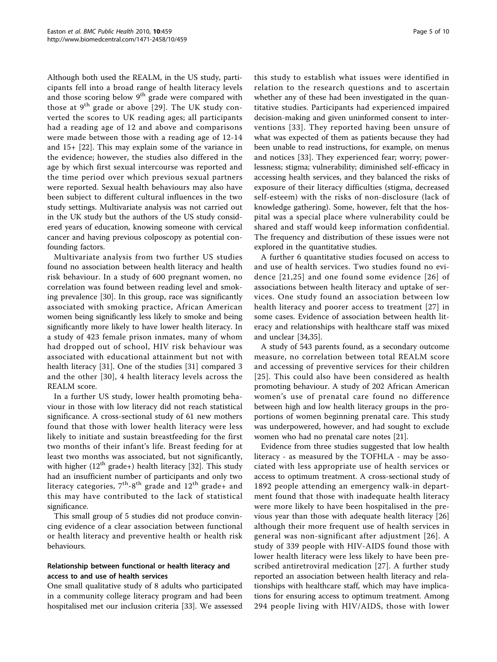Although both used the REALM, in the US study, participants fell into a broad range of health literacy levels and those scoring below  $9<sup>th</sup>$  grade were compared with those at  $9^{th}$  grade or above [[29](#page-9-0)]. The UK study converted the scores to UK reading ages; all participants had a reading age of 12 and above and comparisons were made between those with a reading age of 12-14 and 15+ [[22\]](#page-9-0). This may explain some of the variance in the evidence; however, the studies also differed in the age by which first sexual intercourse was reported and the time period over which previous sexual partners were reported. Sexual health behaviours may also have been subject to different cultural influences in the two study settings. Multivariate analysis was not carried out in the UK study but the authors of the US study considered years of education, knowing someone with cervical cancer and having previous colposcopy as potential confounding factors.

Multivariate analysis from two further US studies found no association between health literacy and health risk behaviour. In a study of 600 pregnant women, no correlation was found between reading level and smoking prevalence [\[30](#page-9-0)]. In this group, race was significantly associated with smoking practice, African American women being significantly less likely to smoke and being significantly more likely to have lower health literacy. In a study of 423 female prison inmates, many of whom had dropped out of school, HIV risk behaviour was associated with educational attainment but not with health literacy [\[31](#page-9-0)]. One of the studies [[31\]](#page-9-0) compared 3 and the other [[30](#page-9-0)], 4 health literacy levels across the REALM score.

In a further US study, lower health promoting behaviour in those with low literacy did not reach statistical significance. A cross-sectional study of 61 new mothers found that those with lower health literacy were less likely to initiate and sustain breastfeeding for the first two months of their infant's life. Breast feeding for at least two months was associated, but not significantly, with higher  $(12<sup>th</sup> grade+)$  health literacy [[32\]](#page-9-0). This study had an insufficient number of participants and only two literacy categories,  $7<sup>th</sup> - 8<sup>th</sup>$  grade and  $12<sup>th</sup>$  grade+ and this may have contributed to the lack of statistical significance.

This small group of 5 studies did not produce convincing evidence of a clear association between functional or health literacy and preventive health or health risk behaviours.

## Relationship between functional or health literacy and access to and use of health services

One small qualitative study of 8 adults who participated in a community college literacy program and had been hospitalised met our inclusion criteria [[33\]](#page-9-0). We assessed this study to establish what issues were identified in relation to the research questions and to ascertain whether any of these had been investigated in the quantitative studies. Participants had experienced impaired decision-making and given uninformed consent to interventions [[33](#page-9-0)]. They reported having been unsure of what was expected of them as patients because they had been unable to read instructions, for example, on menus and notices [[33](#page-9-0)]. They experienced fear; worry; powerlessness; stigma; vulnerability; diminished self-efficacy in accessing health services, and they balanced the risks of exposure of their literacy difficulties (stigma, decreased self-esteem) with the risks of non-disclosure (lack of knowledge gathering). Some, however, felt that the hospital was a special place where vulnerability could be shared and staff would keep information confidential. The frequency and distribution of these issues were not explored in the quantitative studies.

A further 6 quantitative studies focused on access to and use of health services. Two studies found no evidence [[21,25\]](#page-9-0) and one found some evidence [[26\]](#page-9-0) of associations between health literacy and uptake of services. One study found an association between low health literacy and poorer access to treatment [[27](#page-9-0)] in some cases. Evidence of association between health literacy and relationships with healthcare staff was mixed and unclear [\[34,35\]](#page-9-0).

A study of 543 parents found, as a secondary outcome measure, no correlation between total REALM score and accessing of preventive services for their children [[25\]](#page-9-0). This could also have been considered as health promoting behaviour. A study of 202 African American women's use of prenatal care found no difference between high and low health literacy groups in the proportions of women beginning prenatal care. This study was underpowered, however, and had sought to exclude women who had no prenatal care notes [[21](#page-9-0)].

Evidence from three studies suggested that low health literacy - as measured by the TOFHLA - may be associated with less appropriate use of health services or access to optimum treatment. A cross-sectional study of 1892 people attending an emergency walk-in department found that those with inadequate health literacy were more likely to have been hospitalised in the previous year than those with adequate health literacy [\[26](#page-9-0)] although their more frequent use of health services in general was non-significant after adjustment [[26\]](#page-9-0). A study of 339 people with HIV-AIDS found those with lower health literacy were less likely to have been prescribed antiretroviral medication [[27\]](#page-9-0). A further study reported an association between health literacy and relationships with healthcare staff, which may have implications for ensuring access to optimum treatment. Among 294 people living with HIV/AIDS, those with lower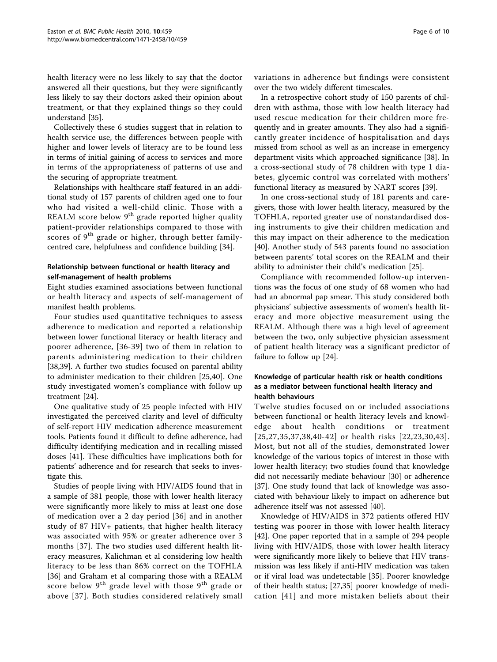health literacy were no less likely to say that the doctor answered all their questions, but they were significantly less likely to say their doctors asked their opinion about treatment, or that they explained things so they could understand [[35\]](#page-9-0).

Collectively these 6 studies suggest that in relation to health service use, the differences between people with higher and lower levels of literacy are to be found less in terms of initial gaining of access to services and more in terms of the appropriateness of patterns of use and the securing of appropriate treatment.

Relationships with healthcare staff featured in an additional study of 157 parents of children aged one to four who had visited a well-child clinic. Those with a REALM score below  $9<sup>th</sup>$  grade reported higher quality patient-provider relationships compared to those with scores of  $9<sup>th</sup>$  grade or higher, through better familycentred care, helpfulness and confidence building [\[34](#page-9-0)].

## Relationship between functional or health literacy and self-management of health problems

Eight studies examined associations between functional or health literacy and aspects of self-management of manifest health problems.

Four studies used quantitative techniques to assess adherence to medication and reported a relationship between lower functional literacy or health literacy and poorer adherence, [[36-39\]](#page-9-0) two of them in relation to parents administering medication to their children [[38,39\]](#page-9-0). A further two studies focused on parental ability to administer medication to their children [[25,40](#page-9-0)]. One study investigated women's compliance with follow up treatment [[24\]](#page-9-0).

One qualitative study of 25 people infected with HIV investigated the perceived clarity and level of difficulty of self-report HIV medication adherence measurement tools. Patients found it difficult to define adherence, had difficulty identifying medication and in recalling missed doses [[41\]](#page-9-0). These difficulties have implications both for patients' adherence and for research that seeks to investigate this.

Studies of people living with HIV/AIDS found that in a sample of 381 people, those with lower health literacy were significantly more likely to miss at least one dose of medication over a 2 day period [[36](#page-9-0)] and in another study of 87 HIV+ patients, that higher health literacy was associated with 95% or greater adherence over 3 months [\[37](#page-9-0)]. The two studies used different health literacy measures, Kalichman et al considering low health literacy to be less than 86% correct on the TOFHLA [[36\]](#page-9-0) and Graham et al comparing those with a REALM score below  $9^{th}$  grade level with those  $9^{th}$  grade or above [[37](#page-9-0)]. Both studies considered relatively small variations in adherence but findings were consistent over the two widely different timescales.

In a retrospective cohort study of 150 parents of children with asthma, those with low health literacy had used rescue medication for their children more frequently and in greater amounts. They also had a significantly greater incidence of hospitalisation and days missed from school as well as an increase in emergency department visits which approached significance [\[38](#page-9-0)]. In a cross-sectional study of 78 children with type 1 diabetes, glycemic control was correlated with mothers' functional literacy as measured by NART scores [[39](#page-9-0)].

In one cross-sectional study of 181 parents and caregivers, those with lower health literacy, measured by the TOFHLA, reported greater use of nonstandardised dosing instruments to give their children medication and this may impact on their adherence to the medication [[40\]](#page-9-0). Another study of 543 parents found no association between parents' total scores on the REALM and their ability to administer their child's medication [\[25\]](#page-9-0).

Compliance with recommended follow-up interventions was the focus of one study of 68 women who had had an abnormal pap smear. This study considered both physicians' subjective assessments of women's health literacy and more objective measurement using the REALM. Although there was a high level of agreement between the two, only subjective physician assessment of patient health literacy was a significant predictor of failure to follow up [\[24\]](#page-9-0).

## Knowledge of particular health risk or health conditions as a mediator between functional health literacy and health behaviours

Twelve studies focused on or included associations between functional or health literacy levels and knowledge about health conditions or treatment [[25](#page-9-0),[27](#page-9-0),[35,37](#page-9-0),[38,40-42\]](#page-9-0) or health risks [[22,23](#page-9-0),[30](#page-9-0),[43\]](#page-9-0). Most, but not all of the studies, demonstrated lower knowledge of the various topics of interest in those with lower health literacy; two studies found that knowledge did not necessarily mediate behaviour [\[30](#page-9-0)] or adherence [[37\]](#page-9-0). One study found that lack of knowledge was associated with behaviour likely to impact on adherence but adherence itself was not assessed [[40](#page-9-0)].

Knowledge of HIV/AIDS in 372 patients offered HIV testing was poorer in those with lower health literacy [[42\]](#page-9-0). One paper reported that in a sample of 294 people living with HIV/AIDS, those with lower health literacy were significantly more likely to believe that HIV transmission was less likely if anti-HIV medication was taken or if viral load was undetectable [\[35\]](#page-9-0). Poorer knowledge of their health status; [[27,35](#page-9-0)] poorer knowledge of medication [[41\]](#page-9-0) and more mistaken beliefs about their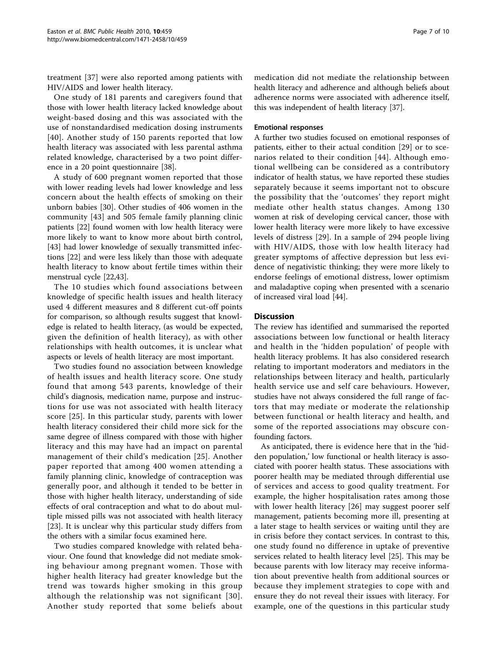treatment [[37\]](#page-9-0) were also reported among patients with HIV/AIDS and lower health literacy.

One study of 181 parents and caregivers found that those with lower health literacy lacked knowledge about weight-based dosing and this was associated with the use of nonstandardised medication dosing instruments [[40\]](#page-9-0). Another study of 150 parents reported that low health literacy was associated with less parental asthma related knowledge, characterised by a two point difference in a 20 point questionnaire [\[38](#page-9-0)].

A study of 600 pregnant women reported that those with lower reading levels had lower knowledge and less concern about the health effects of smoking on their unborn babies [\[30](#page-9-0)]. Other studies of 406 women in the community [[43\]](#page-9-0) and 505 female family planning clinic patients [\[22\]](#page-9-0) found women with low health literacy were more likely to want to know more about birth control, [[43\]](#page-9-0) had lower knowledge of sexually transmitted infections [[22\]](#page-9-0) and were less likely than those with adequate health literacy to know about fertile times within their menstrual cycle [\[22,43\]](#page-9-0).

The 10 studies which found associations between knowledge of specific health issues and health literacy used 4 different measures and 8 different cut-off points for comparison, so although results suggest that knowledge is related to health literacy, (as would be expected, given the definition of health literacy), as with other relationships with health outcomes, it is unclear what aspects or levels of health literacy are most important.

Two studies found no association between knowledge of health issues and health literacy score. One study found that among 543 parents, knowledge of their child's diagnosis, medication name, purpose and instructions for use was not associated with health literacy score [[25](#page-9-0)]. In this particular study, parents with lower health literacy considered their child more sick for the same degree of illness compared with those with higher literacy and this may have had an impact on parental management of their child's medication [[25](#page-9-0)]. Another paper reported that among 400 women attending a family planning clinic, knowledge of contraception was generally poor, and although it tended to be better in those with higher health literacy, understanding of side effects of oral contraception and what to do about multiple missed pills was not associated with health literacy [[23\]](#page-9-0). It is unclear why this particular study differs from the others with a similar focus examined here.

Two studies compared knowledge with related behaviour. One found that knowledge did not mediate smoking behaviour among pregnant women. Those with higher health literacy had greater knowledge but the trend was towards higher smoking in this group although the relationship was not significant [[30\]](#page-9-0). Another study reported that some beliefs about

medication did not mediate the relationship between health literacy and adherence and although beliefs about adherence norms were associated with adherence itself, this was independent of health literacy [[37\]](#page-9-0).

#### Emotional responses

A further two studies focused on emotional responses of patients, either to their actual condition [[29](#page-9-0)] or to scenarios related to their condition [[44](#page-9-0)]. Although emotional wellbeing can be considered as a contributory indicator of health status, we have reported these studies separately because it seems important not to obscure the possibility that the 'outcomes' they report might mediate other health status changes. Among 130 women at risk of developing cervical cancer, those with lower health literacy were more likely to have excessive levels of distress [\[29\]](#page-9-0). In a sample of 294 people living with HIV/AIDS, those with low health literacy had greater symptoms of affective depression but less evidence of negativistic thinking; they were more likely to endorse feelings of emotional distress, lower optimism and maladaptive coping when presented with a scenario of increased viral load [[44](#page-9-0)].

#### Discussion

The review has identified and summarised the reported associations between low functional or health literacy and health in the 'hidden population' of people with health literacy problems. It has also considered research relating to important moderators and mediators in the relationships between literacy and health, particularly health service use and self care behaviours. However, studies have not always considered the full range of factors that may mediate or moderate the relationship between functional or health literacy and health, and some of the reported associations may obscure confounding factors.

As anticipated, there is evidence here that in the 'hidden population,' low functional or health literacy is associated with poorer health status. These associations with poorer health may be mediated through differential use of services and access to good quality treatment. For example, the higher hospitalisation rates among those with lower health literacy [[26\]](#page-9-0) may suggest poorer self management, patients becoming more ill, presenting at a later stage to health services or waiting until they are in crisis before they contact services. In contrast to this, one study found no difference in uptake of preventive services related to health literacy level [[25\]](#page-9-0). This may be because parents with low literacy may receive information about preventive health from additional sources or because they implement strategies to cope with and ensure they do not reveal their issues with literacy. For example, one of the questions in this particular study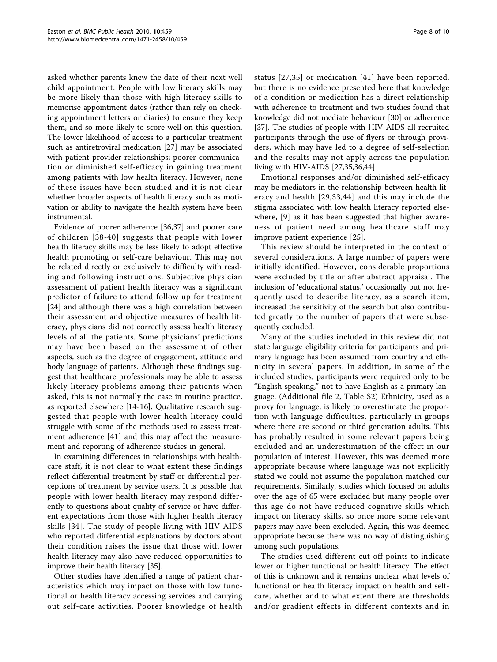asked whether parents knew the date of their next well child appointment. People with low literacy skills may be more likely than those with high literacy skills to memorise appointment dates (rather than rely on checking appointment letters or diaries) to ensure they keep them, and so more likely to score well on this question. The lower likelihood of access to a particular treatment such as antiretroviral medication [[27](#page-9-0)] may be associated with patient-provider relationships; poorer communication or diminished self-efficacy in gaining treatment among patients with low health literacy. However, none of these issues have been studied and it is not clear whether broader aspects of health literacy such as motivation or ability to navigate the health system have been instrumental.

Evidence of poorer adherence [[36,37\]](#page-9-0) and poorer care of children [[38-40](#page-9-0)] suggests that people with lower health literacy skills may be less likely to adopt effective health promoting or self-care behaviour. This may not be related directly or exclusively to difficulty with reading and following instructions. Subjective physician assessment of patient health literacy was a significant predictor of failure to attend follow up for treatment [[24\]](#page-9-0) and although there was a high correlation between their assessment and objective measures of health literacy, physicians did not correctly assess health literacy levels of all the patients. Some physicians' predictions may have been based on the assessment of other aspects, such as the degree of engagement, attitude and body language of patients. Although these findings suggest that healthcare professionals may be able to assess likely literacy problems among their patients when asked, this is not normally the case in routine practice, as reported elsewhere [[14-](#page-8-0)[16\]](#page-9-0). Qualitative research suggested that people with lower health literacy could struggle with some of the methods used to assess treatment adherence [[41](#page-9-0)] and this may affect the measurement and reporting of adherence studies in general.

In examining differences in relationships with healthcare staff, it is not clear to what extent these findings reflect differential treatment by staff or differential perceptions of treatment by service users. It is possible that people with lower health literacy may respond differently to questions about quality of service or have different expectations from those with higher health literacy skills [[34\]](#page-9-0). The study of people living with HIV-AIDS who reported differential explanations by doctors about their condition raises the issue that those with lower health literacy may also have reduced opportunities to improve their health literacy [[35](#page-9-0)].

Other studies have identified a range of patient characteristics which may impact on those with low functional or health literacy accessing services and carrying out self-care activities. Poorer knowledge of health status [[27](#page-9-0),[35](#page-9-0)] or medication [[41](#page-9-0)] have been reported, but there is no evidence presented here that knowledge of a condition or medication has a direct relationship with adherence to treatment and two studies found that knowledge did not mediate behaviour [\[30](#page-9-0)] or adherence [[37\]](#page-9-0). The studies of people with HIV-AIDS all recruited participants through the use of flyers or through providers, which may have led to a degree of self-selection and the results may not apply across the population living with HIV-AIDS [[27,35,36](#page-9-0),[44](#page-9-0)].

Emotional responses and/or diminished self-efficacy may be mediators in the relationship between health literacy and health [[29](#page-9-0),[33](#page-9-0),[44](#page-9-0)] and this may include the stigma associated with low health literacy reported elsewhere, [[9\]](#page-8-0) as it has been suggested that higher awareness of patient need among healthcare staff may improve patient experience [[25](#page-9-0)].

This review should be interpreted in the context of several considerations. A large number of papers were initially identified. However, considerable proportions were excluded by title or after abstract appraisal. The inclusion of 'educational status,' occasionally but not frequently used to describe literacy, as a search item, increased the sensitivity of the search but also contributed greatly to the number of papers that were subsequently excluded.

Many of the studies included in this review did not state language eligibility criteria for participants and primary language has been assumed from country and ethnicity in several papers. In addition, in some of the included studies, participants were required only to be "English speaking," not to have English as a primary language. (Additional file 2, Table S2) Ethnicity, used as a proxy for language, is likely to overestimate the proportion with language difficulties, particularly in groups where there are second or third generation adults. This has probably resulted in some relevant papers being excluded and an underestimation of the effect in our population of interest. However, this was deemed more appropriate because where language was not explicitly stated we could not assume the population matched our requirements. Similarly, studies which focused on adults over the age of 65 were excluded but many people over this age do not have reduced cognitive skills which impact on literacy skills, so once more some relevant papers may have been excluded. Again, this was deemed appropriate because there was no way of distinguishing among such populations.

The studies used different cut-off points to indicate lower or higher functional or health literacy. The effect of this is unknown and it remains unclear what levels of functional or health literacy impact on health and selfcare, whether and to what extent there are thresholds and/or gradient effects in different contexts and in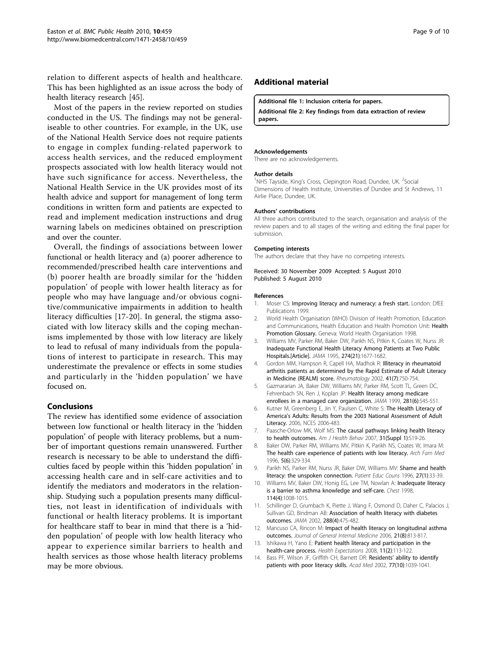<span id="page-8-0"></span>relation to different aspects of health and healthcare. This has been highlighted as an issue across the body of health literacy research [[45\]](#page-9-0).

Most of the papers in the review reported on studies conducted in the US. The findings may not be generaliseable to other countries. For example, in the UK, use of the National Health Service does not require patients to engage in complex funding-related paperwork to access health services, and the reduced employment prospects associated with low health literacy would not have such significance for access. Nevertheless, the National Health Service in the UK provides most of its health advice and support for management of long term conditions in written form and patients are expected to read and implement medication instructions and drug warning labels on medicines obtained on prescription and over the counter.

Overall, the findings of associations between lower functional or health literacy and (a) poorer adherence to recommended/prescribed health care interventions and (b) poorer health are broadly similar for the 'hidden population' of people with lower health literacy as for people who may have language and/or obvious cognitive/communicative impairments in addition to health literacy difficulties [[17-20\]](#page-9-0). In general, the stigma associated with low literacy skills and the coping mechanisms implemented by those with low literacy are likely to lead to refusal of many individuals from the populations of interest to participate in research. This may underestimate the prevalence or effects in some studies and particularly in the 'hidden population' we have focused on.

## Conclusions

The review has identified some evidence of association between low functional or health literacy in the 'hidden population' of people with literacy problems, but a number of important questions remain unanswered. Further research is necessary to be able to understand the difficulties faced by people within this 'hidden population' in accessing health care and in self-care activities and to identify the mediators and moderators in the relationship. Studying such a population presents many difficulties, not least in identification of individuals with functional or health literacy problems. It is important for healthcare staff to bear in mind that there is a 'hidden population' of people with low health literacy who appear to experience similar barriers to health and health services as those whose health literacy problems may be more obvious.

## Additional material

[Additional file 1: I](http://www.biomedcentral.com/content/supplementary/1471-2458-10-459-S1.DOC)nclusion criteria for papers. [Additional file 2: K](http://www.biomedcentral.com/content/supplementary/1471-2458-10-459-S2.DOC)ey findings from data extraction of review papers.

#### Acknowledgements

There are no acknowledgements.

#### Author details

<sup>1</sup>NHS Tayside, King's Cross, Clepington Road, Dundee, UK. <sup>2</sup>Social Dimensions of Health Institute, Universities of Dundee and St Andrews, 11 Airlie Place, Dundee, UK.

#### Authors' contributions

All three authors contributed to the search, organisation and analysis of the review papers and to all stages of the writing and editing the final paper for submission.

#### Competing interests

The authors declare that they have no competing interests.

Received: 30 November 2009 Accepted: 5 August 2010 Published: 5 August 2010

#### References

- Moser CS: Improving literacy and numeracy: a fresh start. London: DfEE Publications 1999.
- 2. World Health Organisation (WHO) Division of Health Promotion, Education and Communications, Health Education and Health Promotion Unit: Health Promotion Glossary. Geneva: World Health Organisation 1998.
- 3. Williams MV, Parker RM, Baker DW, Parikh NS, Pitkin K, Coates W, Nurss JR: [Inadequate Functional Health Literacy Among Patients at Two Public](http://www.ncbi.nlm.nih.gov/pubmed/7474271?dopt=Abstract) [Hospitals.\[Article\].](http://www.ncbi.nlm.nih.gov/pubmed/7474271?dopt=Abstract) JAMA 1995, 274(21):1677-1682.
- 4. Gordon MM, Hampson R, Capell HA, Madhok R: [Illiteracy in rheumatoid](http://www.ncbi.nlm.nih.gov/pubmed/12096223?dopt=Abstract) [arthritis patients as determined by the Rapid Estimate of Adult Literacy](http://www.ncbi.nlm.nih.gov/pubmed/12096223?dopt=Abstract) [in Medicine \(REALM\) score.](http://www.ncbi.nlm.nih.gov/pubmed/12096223?dopt=Abstract) Rheumatology 2002, 41(7):750-754.
- 5. Gazmararian JA, Baker DW, Williams MV, Parker RM, Scott TL, Green DC, Fehrenbach SN, Ren J, Koplan JP: [Health literacy among medicare](http://www.ncbi.nlm.nih.gov/pubmed/10022111?dopt=Abstract) [enrollees in a managed care organization.](http://www.ncbi.nlm.nih.gov/pubmed/10022111?dopt=Abstract) JAMA 1999, 281(6):545-551.
- 6. Kutner M, Greenberg E, Jin Y, Paulsen C, White S: The Health Literacy of America's Adults: Results from the 2003 National Assessment of Adult Literacy. 2006, NCES 2006-483.
- 7. Paasche-Orlow MK, Wolf MS: [The causal pathways linking health literacy](http://www.ncbi.nlm.nih.gov/pubmed/17931132?dopt=Abstract) [to health outcomes.](http://www.ncbi.nlm.nih.gov/pubmed/17931132?dopt=Abstract) Am J Health Behav 2007, 31(Suppl 1):S19-26.
- 8. Baker DW, Parker RM, Williams MV, Pitkin K, Parikh NS, Coates W, Imara M: [The health care experience of patients with low literacy.](http://www.ncbi.nlm.nih.gov/pubmed/8640322?dopt=Abstract) Arch Fam Med 1996, 5(6):329-334.
- 9. Parikh NS, Parker RM, Nurss JR, Baker DW, Williams MV: [Shame and health](http://www.ncbi.nlm.nih.gov/pubmed/8788747?dopt=Abstract) [literacy: the unspoken connection.](http://www.ncbi.nlm.nih.gov/pubmed/8788747?dopt=Abstract) Patient Educ Couns 1996, 27(1):33-39.
- 10. Williams MV, Baker DW, Honig EG, Lee TM, Nowlan A: [Inadequate literacy](http://www.ncbi.nlm.nih.gov/pubmed/9792569?dopt=Abstract) [is a barrier to asthma knowledge and self-care.](http://www.ncbi.nlm.nih.gov/pubmed/9792569?dopt=Abstract) Chest 1998, 114(4):1008-1015.
- 11. Schillinger D, Grumbach K, Piette J, Wang F, Osmond D, Daher C, Palacios J, Sullivan GD, Bindman AB: [Association of health literacy with diabetes](http://www.ncbi.nlm.nih.gov/pubmed/12132978?dopt=Abstract) [outcomes.](http://www.ncbi.nlm.nih.gov/pubmed/12132978?dopt=Abstract) JAMA 2002, 288(4):475-482.
- 12. Mancuso CA, Rincon M: [Impact of health literacy on longitudinal asthma](http://www.ncbi.nlm.nih.gov/pubmed/16881939?dopt=Abstract) [outcomes.](http://www.ncbi.nlm.nih.gov/pubmed/16881939?dopt=Abstract) Journal of General Internal Medicine 2006, 21(8):813-817.
- 13. Ishikawa H, Yano E: [Patient health literacy and participation in the](http://www.ncbi.nlm.nih.gov/pubmed/18494956?dopt=Abstract) [health-care process.](http://www.ncbi.nlm.nih.gov/pubmed/18494956?dopt=Abstract) Health Expectations 2008, 11(2):113-122.
- 14. Bass PF, Wilson JF, Griffith CH, Barnett DR: Residents' [ability to identify](http://www.ncbi.nlm.nih.gov/pubmed/12377684?dopt=Abstract) [patients with poor literacy skills.](http://www.ncbi.nlm.nih.gov/pubmed/12377684?dopt=Abstract) Acad Med 2002, 77(10):1039-1041.